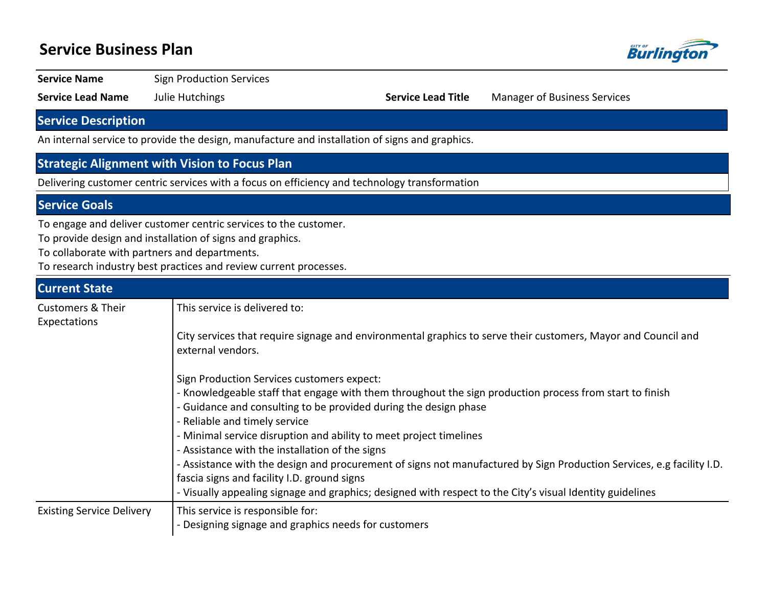# **Service Business Plan**



**Service Name** Sign Production Services

**Service Lead Name** Julie Hutchings **Service Lead Title** Manager of Business Services

## **Service Description**

An internal service to provide the design, manufacture and installation of signs and graphics.

## **Strategic Alignment with Vision to Focus Plan**

Delivering customer centric services with a focus on efficiency and technology transformation

### **Service Goals**

To engage and deliver customer centric services to the customer.

To provide design and installation of signs and graphics.

To collaborate with partners and departments.

To research industry best practices and review current processes.

## **Current State** Customers & Their Expectations This service is delivered to: City services that require signage and environmental graphics to serve their customers, Mayor and Council and external vendors. Sign Production Services customers expect: - Knowledgeable staff that engage with them throughout the sign production process from start to finish - Guidance and consulting to be provided during the design phase - Reliable and timely service - Minimal service disruption and ability to meet project timelines - Assistance with the installation of the signs - Assistance with the design and procurement of signs not manufactured by Sign Production Services, e.g facility I.D. fascia signs and facility I.D. ground signs - Visually appealing signage and graphics; designed with respect to the City's visual Identity guidelines Existing Service Delivery | This service is responsible for: - Designing signage and graphics needs for customers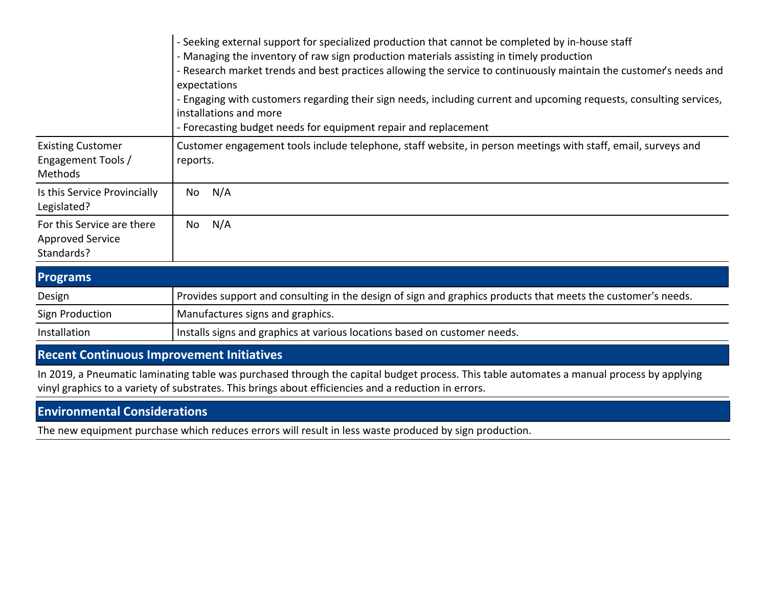|                                                                     | - Seeking external support for specialized production that cannot be completed by in-house staff<br>- Managing the inventory of raw sign production materials assisting in timely production<br>- Research market trends and best practices allowing the service to continuously maintain the customer's needs and<br>expectations<br>- Engaging with customers regarding their sign needs, including current and upcoming requests, consulting services,<br>installations and more<br>- Forecasting budget needs for equipment repair and replacement |  |  |  |  |  |
|---------------------------------------------------------------------|--------------------------------------------------------------------------------------------------------------------------------------------------------------------------------------------------------------------------------------------------------------------------------------------------------------------------------------------------------------------------------------------------------------------------------------------------------------------------------------------------------------------------------------------------------|--|--|--|--|--|
| <b>Existing Customer</b><br>Engagement Tools /<br>Methods           | Customer engagement tools include telephone, staff website, in person meetings with staff, email, surveys and<br>reports.                                                                                                                                                                                                                                                                                                                                                                                                                              |  |  |  |  |  |
| Is this Service Provincially<br>Legislated?                         | N/A<br>No                                                                                                                                                                                                                                                                                                                                                                                                                                                                                                                                              |  |  |  |  |  |
| For this Service are there<br><b>Approved Service</b><br>Standards? | N/A<br>No                                                                                                                                                                                                                                                                                                                                                                                                                                                                                                                                              |  |  |  |  |  |

| <b>Programs</b> |                                                                                                              |
|-----------------|--------------------------------------------------------------------------------------------------------------|
| Design          | Provides support and consulting in the design of sign and graphics products that meets the customer's needs. |
| Sign Production | Manufactures signs and graphics.                                                                             |
| Installation    | Installs signs and graphics at various locations based on customer needs.                                    |

## **Recent Continuous Improvement Initiatives**

In 2019, a Pneumatic laminating table was purchased through the capital budget process. This table automates a manual process by applying vinyl graphics to a variety of substrates. This brings about efficiencies and a reduction in errors.

# **Environmental Considerations**

The new equipment purchase which reduces errors will result in less waste produced by sign production.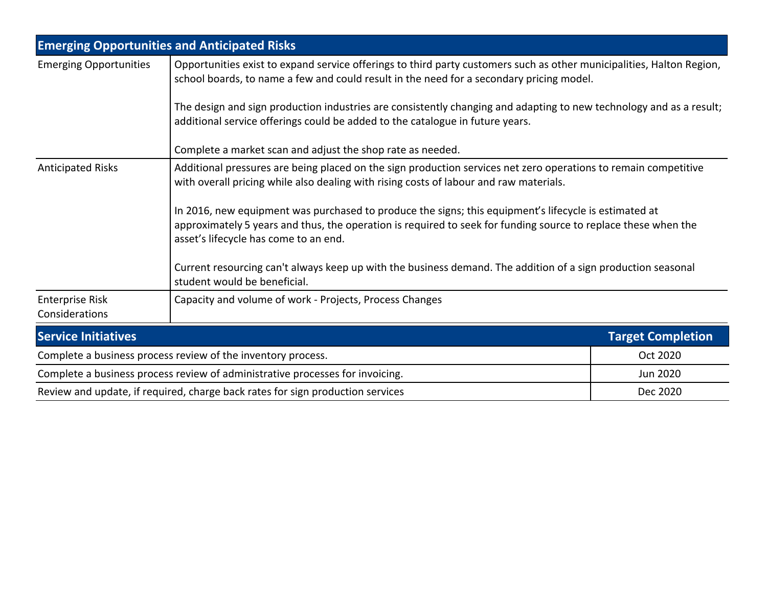| <b>Emerging Opportunities and Anticipated Risks</b>                                                                                                                                                                                                              |                                                                                                                                                                                                                   |                          |  |  |  |
|------------------------------------------------------------------------------------------------------------------------------------------------------------------------------------------------------------------------------------------------------------------|-------------------------------------------------------------------------------------------------------------------------------------------------------------------------------------------------------------------|--------------------------|--|--|--|
| <b>Emerging Opportunities</b>                                                                                                                                                                                                                                    | Opportunities exist to expand service offerings to third party customers such as other municipalities, Halton Region,<br>school boards, to name a few and could result in the need for a secondary pricing model. |                          |  |  |  |
|                                                                                                                                                                                                                                                                  | The design and sign production industries are consistently changing and adapting to new technology and as a result;<br>additional service offerings could be added to the catalogue in future years.              |                          |  |  |  |
|                                                                                                                                                                                                                                                                  | Complete a market scan and adjust the shop rate as needed.                                                                                                                                                        |                          |  |  |  |
| Additional pressures are being placed on the sign production services net zero operations to remain competitive<br><b>Anticipated Risks</b><br>with overall pricing while also dealing with rising costs of labour and raw materials.                            |                                                                                                                                                                                                                   |                          |  |  |  |
| In 2016, new equipment was purchased to produce the signs; this equipment's lifecycle is estimated at<br>approximately 5 years and thus, the operation is required to seek for funding source to replace these when the<br>asset's lifecycle has come to an end. |                                                                                                                                                                                                                   |                          |  |  |  |
|                                                                                                                                                                                                                                                                  | Current resourcing can't always keep up with the business demand. The addition of a sign production seasonal<br>student would be beneficial.                                                                      |                          |  |  |  |
| <b>Enterprise Risk</b><br>Considerations                                                                                                                                                                                                                         | Capacity and volume of work - Projects, Process Changes                                                                                                                                                           |                          |  |  |  |
| <b>Service Initiatives</b>                                                                                                                                                                                                                                       |                                                                                                                                                                                                                   | <b>Target Completion</b> |  |  |  |
| Complete a business process review of the inventory process.                                                                                                                                                                                                     |                                                                                                                                                                                                                   | Oct 2020                 |  |  |  |
| Complete a business process review of administrative processes for invoicing.                                                                                                                                                                                    |                                                                                                                                                                                                                   | Jun 2020                 |  |  |  |
| Review and update, if required, charge back rates for sign production services                                                                                                                                                                                   | Dec 2020                                                                                                                                                                                                          |                          |  |  |  |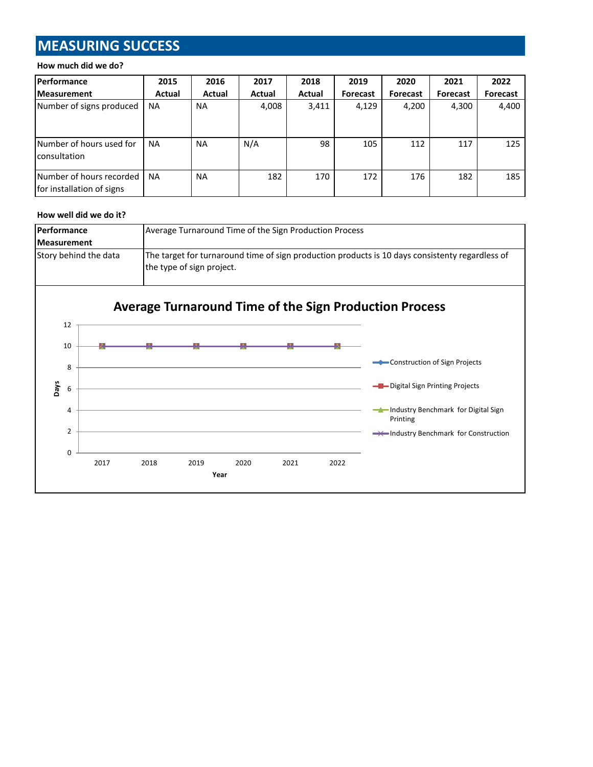# **MEASURING SUCCESS**

#### **How much did we do?**

| <b>Performance</b>                                    | 2015      | 2016      | 2017   | 2018   | 2019            | 2020            | 2021            | 2022            |
|-------------------------------------------------------|-----------|-----------|--------|--------|-----------------|-----------------|-----------------|-----------------|
| <b>Measurement</b>                                    | Actual    | Actual    | Actual | Actual | <b>Forecast</b> | <b>Forecast</b> | <b>Forecast</b> | <b>Forecast</b> |
| Number of signs produced                              | <b>NA</b> | <b>NA</b> | 4,008  | 3,411  | 4,129           | 4,200           | 4,300           | 4,400           |
| Number of hours used for<br>consultation              | <b>NA</b> | <b>NA</b> | N/A    | 98     | 105             | 112             | 117             | 125             |
| Number of hours recorded<br>for installation of signs | <b>NA</b> | <b>NA</b> | 182    | 170    | 172             | 176             | 182             | 185             |

#### **How well did we do it?**

| <b>Performance</b>    | Average Turnaround Time of the Sign Production Process                                                                       |  |  |  |  |
|-----------------------|------------------------------------------------------------------------------------------------------------------------------|--|--|--|--|
| <b>Measurement</b>    |                                                                                                                              |  |  |  |  |
| Story behind the data | The target for turnaround time of sign production products is 10 days consistenty regardless of<br>the type of sign project. |  |  |  |  |
|                       |                                                                                                                              |  |  |  |  |

# **Average Turnaround Time of the Sign Production Process**